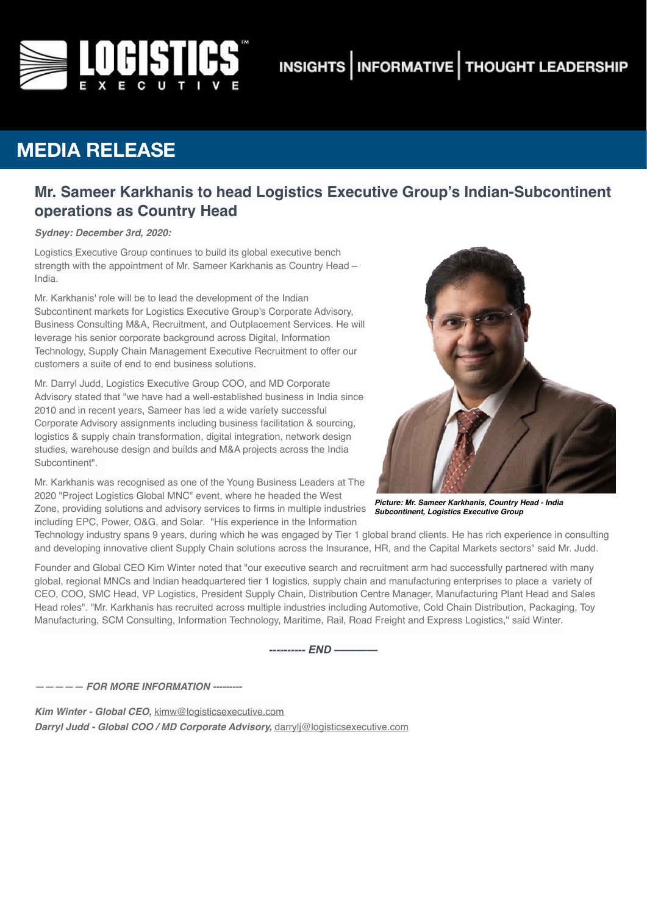

# **INSIGHTS | INFORMATIVE | THOUGHT LEADERSHIP**

## **MEDIA RELEASE**

### **Mr. Sameer Karkhanis to head Logistics Executive Group's Indian-Subcontinent operations as Country Head**

*Sydney: December 3rd, 2020:*

Logistics Executive Group continues to build its global executive bench strength with the appointment of Mr. Sameer Karkhanis as Country Head – India.

Mr. Karkhanis' role will be to lead the development of the Indian Subcontinent markets for Logistics Executive Group's Corporate Advisory, Business Consulting M&A, Recruitment, and Outplacement Services. He will leverage his senior corporate background across Digital, Information Technology, Supply Chain Management Executive Recruitment to offer our customers a suite of end to end business solutions.

Mr. Darryl Judd, Logistics Executive Group COO, and MD Corporate Advisory stated that "we have had a well-established business in India since 2010 and in recent years, Sameer has led a wide variety successful Corporate Advisory assignments including business facilitation & sourcing, logistics & supply chain transformation, digital integration, network design studies, warehouse design and builds and M&A projects across the India Subcontinent".

Mr. Karkhanis was recognised as one of the Young Business Leaders at The 2020 "Project Logistics Global MNC" event, where he headed the West Zone, providing solutions and advisory services to firms in multiple industries including EPC, Power, O&G, and Solar. "His experience in the Information



*Picture: Mr. Sameer Karkhanis, Country Head - India Subcontinent, Logistics Executive Group*

Technology industry spans 9 years, during which he was engaged by Tier 1 global brand clients. He has rich experience in consulting and developing innovative client Supply Chain solutions across the Insurance, HR, and the Capital Markets sectors" said Mr. Judd.

Founder and Global CEO Kim Winter noted that "our executive search and recruitment arm had successfully partnered with many global, regional MNCs and Indian headquartered tier 1 logistics, supply chain and manufacturing enterprises to place a variety of CEO, COO, SMC Head, VP Logistics, President Supply Chain, Distribution Centre Manager, Manufacturing Plant Head and Sales Head roles". "Mr. Karkhanis has recruited across multiple industries including Automotive, Cold Chain Distribution, Packaging, Toy Manufacturing, SCM Consulting, Information Technology, Maritime, Rail, Road Freight and Express Logistics," said Winter.

*---------- END ————* 

*————— FOR MORE INFORMATION ---------*

*Kim Winter - Global CEO,* [kimw@logisticsexecutive.com](mailto:kimw@logisticsexecutive.com) *Darryl Judd - Global COO / MD Corporate Advisory,* [darrylj@logisticsexecutive.com](mailto:darrylj@logisticsexecutive.com)